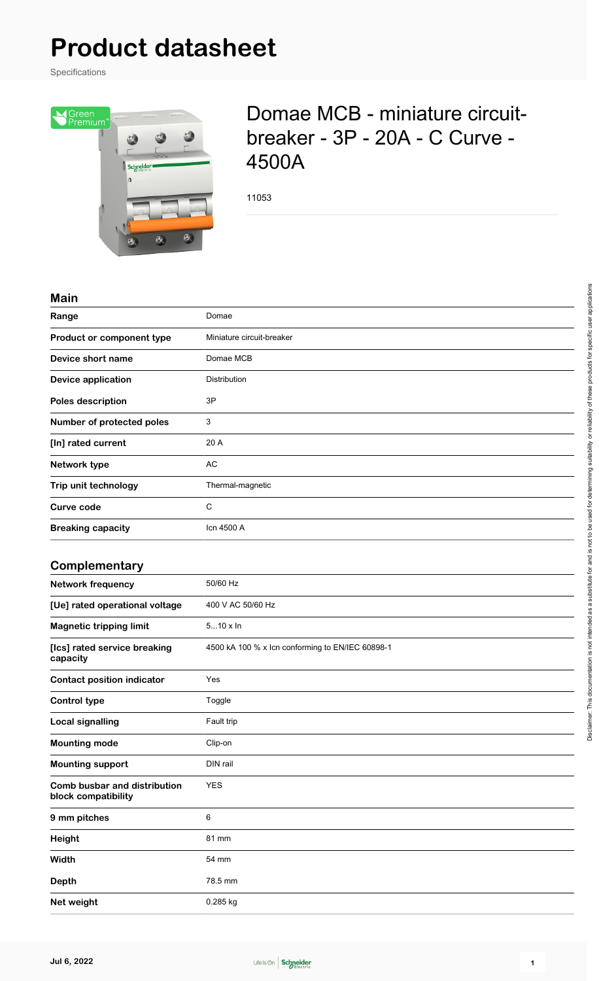# **Product datasheet**

Specifications



# Domae MCB - miniature circuitbreaker - 3P - 20A - C Curve - 4500A

11053

#### **Main**

| Range                                               | Domae                                            |
|-----------------------------------------------------|--------------------------------------------------|
| Product or component type                           | Miniature circuit-breaker                        |
| Device short name                                   | Domae MCB                                        |
| <b>Device application</b>                           | Distribution                                     |
| Poles description                                   | 3P                                               |
| Number of protected poles                           | 3                                                |
| [In] rated current                                  | 20 A                                             |
| Network type                                        | <b>AC</b>                                        |
| Trip unit technology                                | Thermal-magnetic                                 |
| <b>Curve code</b>                                   | $\mathsf C$                                      |
| <b>Breaking capacity</b>                            | Icn 4500 A                                       |
|                                                     |                                                  |
| Complementary                                       |                                                  |
| <b>Network frequency</b>                            | 50/60 Hz                                         |
| [Ue] rated operational voltage                      | 400 V AC 50/60 Hz                                |
| <b>Magnetic tripping limit</b>                      | $510 \times \ln$                                 |
| [Ics] rated service breaking<br>capacity            | 4500 kA 100 % x lcn conforming to EN/IEC 60898-1 |
| <b>Contact position indicator</b>                   | Yes                                              |
| <b>Control type</b>                                 | Toggle                                           |
| <b>Local signalling</b>                             | Fault trip                                       |
| <b>Mounting mode</b>                                | Clip-on                                          |
| <b>Mounting support</b>                             | DIN rail                                         |
| Comb busbar and distribution<br>block compatibility | <b>YES</b>                                       |
| 9 mm pitches                                        | $\,6\,$                                          |
| Height                                              | 81 mm                                            |
| Width                                               | 54 mm                                            |
| <b>Depth</b>                                        | 78.5 mm                                          |
| Net weight                                          | 0.285 kg                                         |

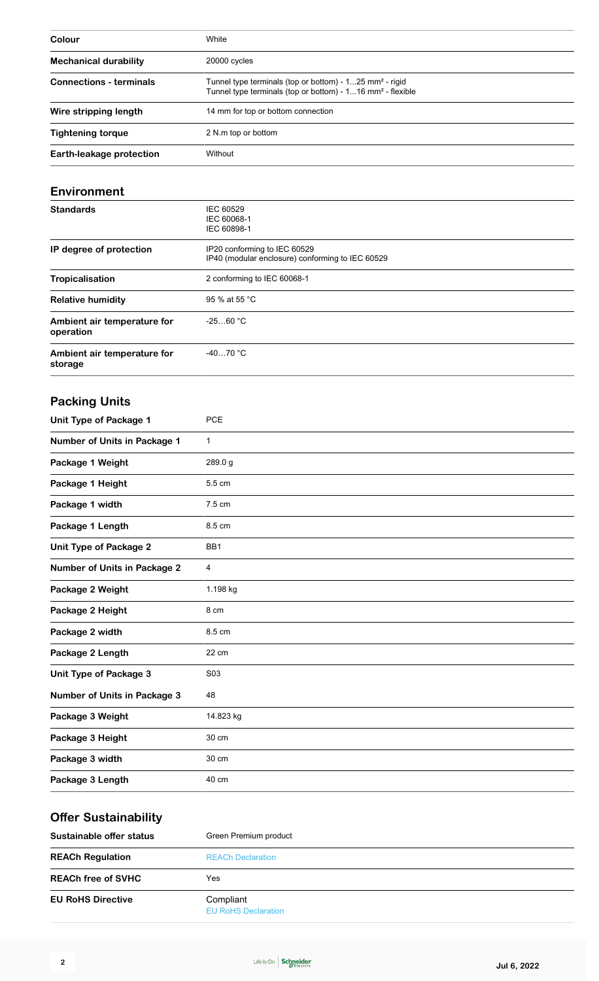| Colour                         | White                                                                                                                                         |
|--------------------------------|-----------------------------------------------------------------------------------------------------------------------------------------------|
| <b>Mechanical durability</b>   | 20000 cycles                                                                                                                                  |
| <b>Connections - terminals</b> | Tunnel type terminals (top or bottom) - 125 mm <sup>2</sup> - rigid<br>Tunnel type terminals (top or bottom) - 116 mm <sup>2</sup> - flexible |
| Wire stripping length          | 14 mm for top or bottom connection                                                                                                            |
| <b>Tightening torque</b>       | 2 N.m top or bottom                                                                                                                           |
| Earth-leakage protection       | Without                                                                                                                                       |

#### **Environment**

| <b>Standards</b>                         | IEC 60529<br>IEC 60068-1<br>IEC 60898-1                                          |
|------------------------------------------|----------------------------------------------------------------------------------|
| IP degree of protection                  | IP20 conforming to IEC 60529<br>IP40 (modular enclosure) conforming to IEC 60529 |
| <b>Tropicalisation</b>                   | 2 conforming to IEC 60068-1                                                      |
| <b>Relative humidity</b>                 | 95 % at 55 °C                                                                    |
| Ambient air temperature for<br>operation | $-2560 °C$                                                                       |
| Ambient air temperature for<br>storage   | $-4070 °C$                                                                       |

### **Packing Units**

| <b>Unit Type of Package 1</b>       | PCE             |
|-------------------------------------|-----------------|
| <b>Number of Units in Package 1</b> | $\mathbf{1}$    |
| Package 1 Weight                    | 289.0 g         |
| Package 1 Height                    | 5.5 cm          |
| Package 1 width                     | 7.5 cm          |
| Package 1 Length                    | 8.5 cm          |
| <b>Unit Type of Package 2</b>       | BB <sub>1</sub> |
| <b>Number of Units in Package 2</b> | 4               |
| Package 2 Weight                    | 1.198 kg        |
| Package 2 Height                    | 8 cm            |
| Package 2 width                     | 8.5 cm          |
| Package 2 Length                    | 22 cm           |
| Unit Type of Package 3              | S03             |
| <b>Number of Units in Package 3</b> | 48              |
| Package 3 Weight                    | 14.823 kg       |
| Package 3 Height                    | 30 cm           |
| Package 3 width                     | 30 cm           |
| Package 3 Length                    | 40 cm           |

# **Offer Sustainability**

| Sustainable offer status  | Green Premium product                   |  |
|---------------------------|-----------------------------------------|--|
| <b>REACh Regulation</b>   | <b>REACh Declaration</b>                |  |
| <b>REACh free of SVHC</b> | Yes.                                    |  |
| <b>EU RoHS Directive</b>  | Compliant<br><b>EU RoHS Declaration</b> |  |